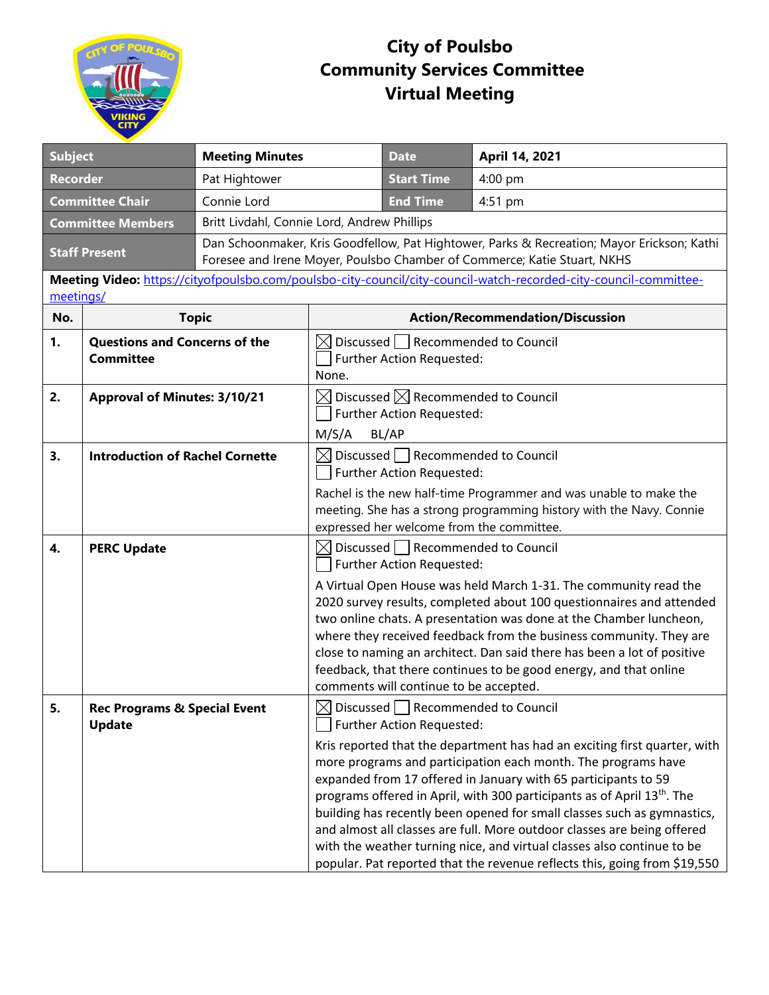

## **City of Poulsbo Community Services Committee Virtual Meeting**

| <b>Subject</b>                                                                                                                 |                                                          | <b>Meeting Minutes</b>                      |                                                                                                                                                                        | <b>Date</b>                                                                                                                | April 14, 2021                                                                                                                                                                                                                                                                                                                                                                                                                                                                                                                                                                                                   |  |  |
|--------------------------------------------------------------------------------------------------------------------------------|----------------------------------------------------------|---------------------------------------------|------------------------------------------------------------------------------------------------------------------------------------------------------------------------|----------------------------------------------------------------------------------------------------------------------------|------------------------------------------------------------------------------------------------------------------------------------------------------------------------------------------------------------------------------------------------------------------------------------------------------------------------------------------------------------------------------------------------------------------------------------------------------------------------------------------------------------------------------------------------------------------------------------------------------------------|--|--|
| <b>Recorder</b>                                                                                                                |                                                          | Pat Hightower                               |                                                                                                                                                                        | <b>Start Time</b>                                                                                                          | 4:00 pm                                                                                                                                                                                                                                                                                                                                                                                                                                                                                                                                                                                                          |  |  |
| <b>Committee Chair</b><br>Connie Lord                                                                                          |                                                          |                                             |                                                                                                                                                                        | <b>End Time</b>                                                                                                            | 4:51 pm                                                                                                                                                                                                                                                                                                                                                                                                                                                                                                                                                                                                          |  |  |
| <b>Committee Members</b>                                                                                                       |                                                          | Britt Livdahl, Connie Lord, Andrew Phillips |                                                                                                                                                                        |                                                                                                                            |                                                                                                                                                                                                                                                                                                                                                                                                                                                                                                                                                                                                                  |  |  |
| <b>Staff Present</b>                                                                                                           |                                                          |                                             | Dan Schoonmaker, Kris Goodfellow, Pat Hightower, Parks & Recreation; Mayor Erickson; Kathi<br>Foresee and Irene Moyer, Poulsbo Chamber of Commerce; Katie Stuart, NKHS |                                                                                                                            |                                                                                                                                                                                                                                                                                                                                                                                                                                                                                                                                                                                                                  |  |  |
| Meeting Video: https://cityofpoulsbo.com/poulsbo-city-council/city-council-watch-recorded-city-council-committee-<br>meetings/ |                                                          |                                             |                                                                                                                                                                        |                                                                                                                            |                                                                                                                                                                                                                                                                                                                                                                                                                                                                                                                                                                                                                  |  |  |
| No.                                                                                                                            | <b>Topic</b>                                             |                                             | <b>Action/Recommendation/Discussion</b>                                                                                                                                |                                                                                                                            |                                                                                                                                                                                                                                                                                                                                                                                                                                                                                                                                                                                                                  |  |  |
| 1.                                                                                                                             | <b>Questions and Concerns of the</b><br><b>Committee</b> |                                             | $\boxtimes$ Discussed $\Box$ Recommended to Council<br>Further Action Requested:<br>None.                                                                              |                                                                                                                            |                                                                                                                                                                                                                                                                                                                                                                                                                                                                                                                                                                                                                  |  |  |
| 2.                                                                                                                             | <b>Approval of Minutes: 3/10/21</b>                      |                                             | $\boxtimes$ Discussed $\boxtimes$ Recommended to Council<br>Further Action Requested:<br>M/S/A<br>BL/AP                                                                |                                                                                                                            |                                                                                                                                                                                                                                                                                                                                                                                                                                                                                                                                                                                                                  |  |  |
| 3.                                                                                                                             | <b>Introduction of Rachel Cornette</b>                   |                                             |                                                                                                                                                                        | $\boxtimes$ Discussed Recommended to Council<br>Further Action Requested:                                                  | Rachel is the new half-time Programmer and was unable to make the<br>meeting. She has a strong programming history with the Navy. Connie                                                                                                                                                                                                                                                                                                                                                                                                                                                                         |  |  |
| 4.                                                                                                                             | <b>PERC Update</b>                                       |                                             |                                                                                                                                                                        | $\boxtimes$ Discussed $\Box$ Recommended to Council<br>Further Action Requested:<br>comments will continue to be accepted. | expressed her welcome from the committee.<br>A Virtual Open House was held March 1-31. The community read the<br>2020 survey results, completed about 100 questionnaires and attended<br>two online chats. A presentation was done at the Chamber luncheon,<br>where they received feedback from the business community. They are<br>close to naming an architect. Dan said there has been a lot of positive<br>feedback, that there continues to be good energy, and that online                                                                                                                                |  |  |
| 5.                                                                                                                             | <b>Rec Programs &amp; Special Event</b><br><b>Update</b> |                                             |                                                                                                                                                                        | $\boxtimes$ Discussed $\Box$ Recommended to Council<br>Further Action Requested:                                           | Kris reported that the department has had an exciting first quarter, with<br>more programs and participation each month. The programs have<br>expanded from 17 offered in January with 65 participants to 59<br>programs offered in April, with 300 participants as of April 13 <sup>th</sup> . The<br>building has recently been opened for small classes such as gymnastics,<br>and almost all classes are full. More outdoor classes are being offered<br>with the weather turning nice, and virtual classes also continue to be<br>popular. Pat reported that the revenue reflects this, going from \$19,550 |  |  |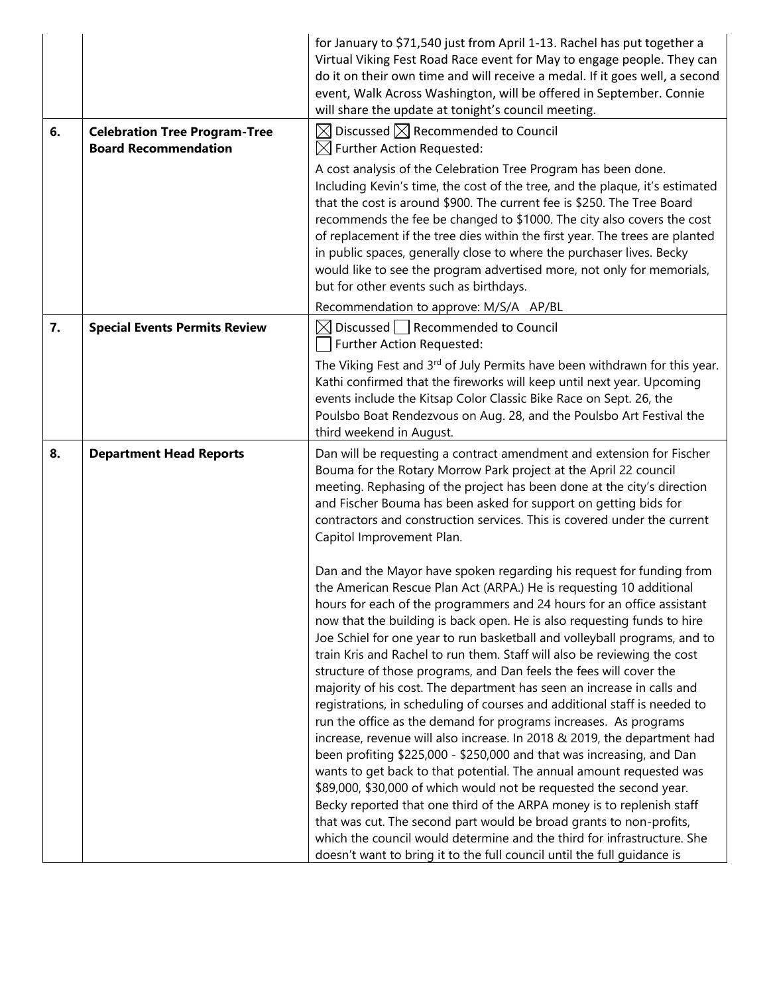|    |                                                                     | for January to \$71,540 just from April 1-13. Rachel has put together a<br>Virtual Viking Fest Road Race event for May to engage people. They can<br>do it on their own time and will receive a medal. If it goes well, a second<br>event, Walk Across Washington, will be offered in September. Connie<br>will share the update at tonight's council meeting.                                                                                                                                                                                                                                                                                                                                                                                                                                                                                                                                                                                                                                                                                                                                                                                                                                                                                                                                                                                                       |
|----|---------------------------------------------------------------------|----------------------------------------------------------------------------------------------------------------------------------------------------------------------------------------------------------------------------------------------------------------------------------------------------------------------------------------------------------------------------------------------------------------------------------------------------------------------------------------------------------------------------------------------------------------------------------------------------------------------------------------------------------------------------------------------------------------------------------------------------------------------------------------------------------------------------------------------------------------------------------------------------------------------------------------------------------------------------------------------------------------------------------------------------------------------------------------------------------------------------------------------------------------------------------------------------------------------------------------------------------------------------------------------------------------------------------------------------------------------|
| 6. | <b>Celebration Tree Program-Tree</b><br><b>Board Recommendation</b> | $\boxtimes$ Discussed $\boxtimes$ Recommended to Council<br>$\boxtimes$ Further Action Requested:                                                                                                                                                                                                                                                                                                                                                                                                                                                                                                                                                                                                                                                                                                                                                                                                                                                                                                                                                                                                                                                                                                                                                                                                                                                                    |
|    |                                                                     | A cost analysis of the Celebration Tree Program has been done.<br>Including Kevin's time, the cost of the tree, and the plaque, it's estimated<br>that the cost is around \$900. The current fee is \$250. The Tree Board<br>recommends the fee be changed to \$1000. The city also covers the cost<br>of replacement if the tree dies within the first year. The trees are planted<br>in public spaces, generally close to where the purchaser lives. Becky<br>would like to see the program advertised more, not only for memorials,<br>but for other events such as birthdays.                                                                                                                                                                                                                                                                                                                                                                                                                                                                                                                                                                                                                                                                                                                                                                                    |
|    |                                                                     | Recommendation to approve: M/S/A AP/BL                                                                                                                                                                                                                                                                                                                                                                                                                                                                                                                                                                                                                                                                                                                                                                                                                                                                                                                                                                                                                                                                                                                                                                                                                                                                                                                               |
| 7. | <b>Special Events Permits Review</b>                                | Discussed   Recommended to Council<br>$\boxtimes$<br>Further Action Requested:                                                                                                                                                                                                                                                                                                                                                                                                                                                                                                                                                                                                                                                                                                                                                                                                                                                                                                                                                                                                                                                                                                                                                                                                                                                                                       |
|    |                                                                     | The Viking Fest and 3rd of July Permits have been withdrawn for this year.<br>Kathi confirmed that the fireworks will keep until next year. Upcoming<br>events include the Kitsap Color Classic Bike Race on Sept. 26, the<br>Poulsbo Boat Rendezvous on Aug. 28, and the Poulsbo Art Festival the<br>third weekend in August.                                                                                                                                                                                                                                                                                                                                                                                                                                                                                                                                                                                                                                                                                                                                                                                                                                                                                                                                                                                                                                       |
| 8. | <b>Department Head Reports</b>                                      | Dan will be requesting a contract amendment and extension for Fischer<br>Bouma for the Rotary Morrow Park project at the April 22 council<br>meeting. Rephasing of the project has been done at the city's direction<br>and Fischer Bouma has been asked for support on getting bids for<br>contractors and construction services. This is covered under the current<br>Capitol Improvement Plan.                                                                                                                                                                                                                                                                                                                                                                                                                                                                                                                                                                                                                                                                                                                                                                                                                                                                                                                                                                    |
|    |                                                                     | Dan and the Mayor have spoken regarding his request for funding from<br>the American Rescue Plan Act (ARPA.) He is requesting 10 additional<br>hours for each of the programmers and 24 hours for an office assistant<br>now that the building is back open. He is also requesting funds to hire<br>Joe Schiel for one year to run basketball and volleyball programs, and to<br>train Kris and Rachel to run them. Staff will also be reviewing the cost<br>structure of those programs, and Dan feels the fees will cover the<br>majority of his cost. The department has seen an increase in calls and<br>registrations, in scheduling of courses and additional staff is needed to<br>run the office as the demand for programs increases. As programs<br>increase, revenue will also increase. In 2018 & 2019, the department had<br>been profiting \$225,000 - \$250,000 and that was increasing, and Dan<br>wants to get back to that potential. The annual amount requested was<br>\$89,000, \$30,000 of which would not be requested the second year.<br>Becky reported that one third of the ARPA money is to replenish staff<br>that was cut. The second part would be broad grants to non-profits,<br>which the council would determine and the third for infrastructure. She<br>doesn't want to bring it to the full council until the full guidance is |